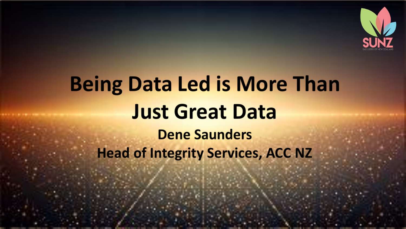

# **Being Data Led is More Than Just Great Data Dene Saunders Head of Integrity Services, ACC NZ**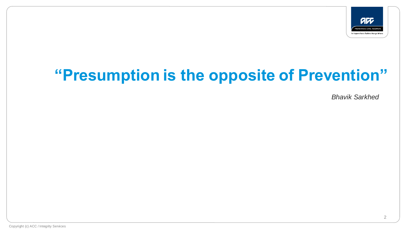

## **"Presumption is the opposite of Prevention"**

*Bhavik Sarkhed*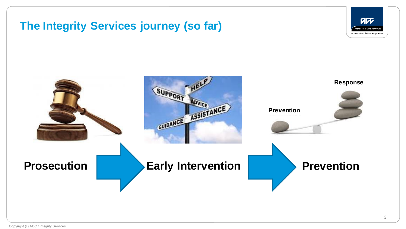#### **The Integrity Services journey (so far)**



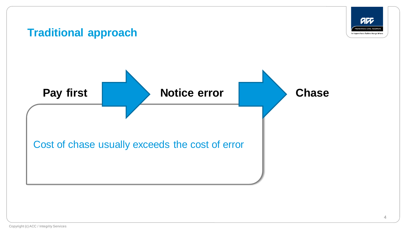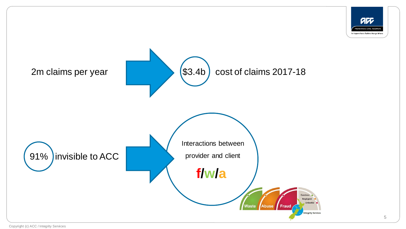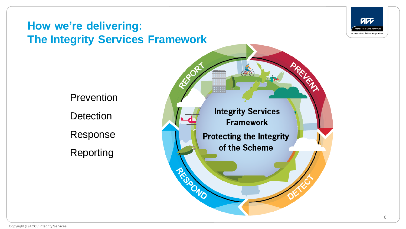

## **How we're delivering: The Integrity Services Framework**

Prevention **Detection** Response Reporting

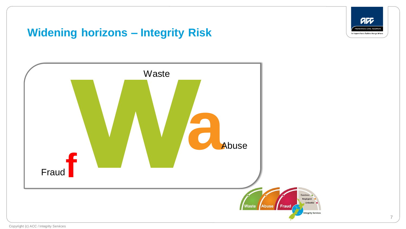

#### **Widening horizons – Integrity Risk**

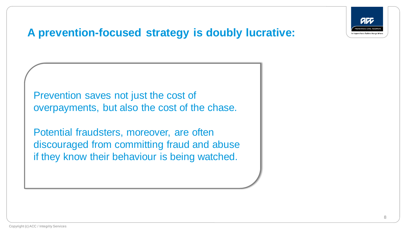

## **A prevention-focused strategy is doubly lucrative:**

Prevention saves not just the cost of overpayments, but also the cost of the chase.

Potential fraudsters, moreover, are often discouraged from committing fraud and abuse if they know their behaviour is being watched.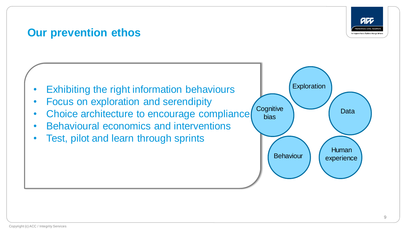

#### **Our prevention ethos**



- Focus on exploration and serendipity
- Choice architecture to encourage compliance
- Behavioural economics and interventions
- Test, pilot and learn through sprints

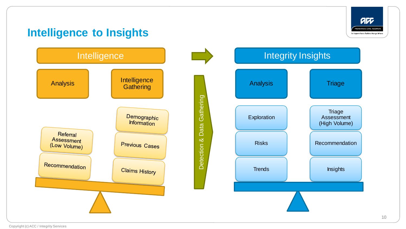art **PREVENTION. CARE. RECOVERY** Te Kaporeihana Äwhina Hunga Whara

#### **Intelligence to Insights**

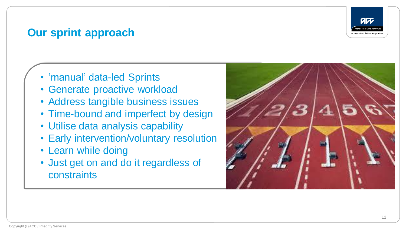

#### **Our sprint approach**

- 'manual' data-led Sprints
- Generate proactive workload
- Address tangible business issues
- Time-bound and imperfect by design
- Utilise data analysis capability
- Early intervention/voluntary resolution
- Learn while doing
- Just get on and do it regardless of constraints

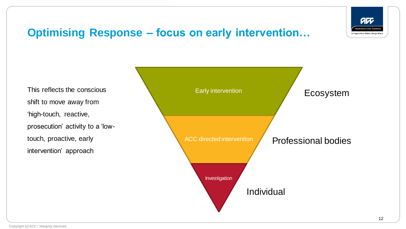

#### **Optimising Response – focus on early intervention…**

This reflects the conscious shift to move away from 'high-touch, reactive, prosecution' activity to a 'lowtouch, proactive, early intervention' approach

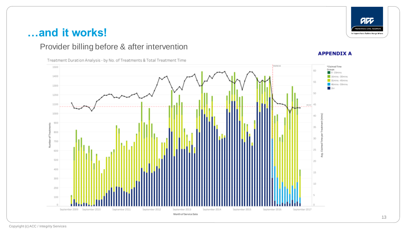## **…and it works!**

#### Provider billing before & after intervention

Treatment Duration Analysis - by No. of Treatments & Total Treatment Time

#### **APPENDIX A**

au PREVENTION. CARE. RECOVERY. Te Kaporeihana Äwhina Hunga Whara



#### Copyright (c) ACC / Integrity Services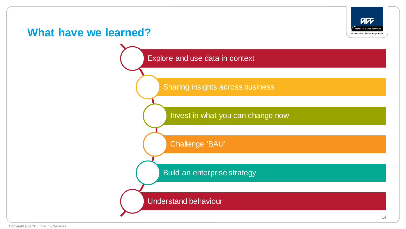#### **What have we learned?**



Explore and use data in context

Sharing insights across business

Invest in what you can change now

Challenge 'BAU'

Build an enterprise strategy

Understand behaviour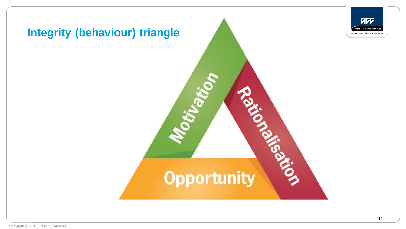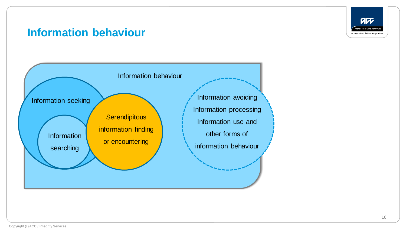

#### **Information behaviour**